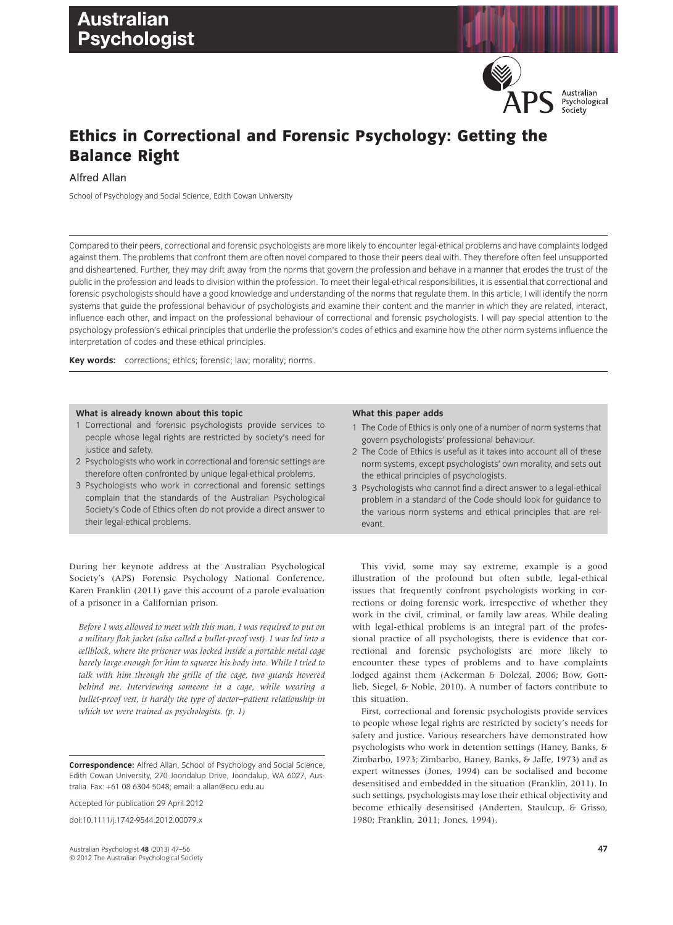

# **Ethics in Correctional and Forensic Psychology: Getting the Balance Right**

## Alfred Allan

School of Psychology and Social Science, Edith Cowan University

Compared to their peers, correctional and forensic psychologists are more likely to encounter legal-ethical problems and have complaints lodged against them. The problems that confront them are often novel compared to those their peers deal with. They therefore often feel unsupported and disheartened. Further, they may drift away from the norms that govern the profession and behave in a manner that erodes the trust of the public in the profession and leads to division within the profession. To meet their legal-ethical responsibilities, it is essential that correctional and forensic psychologists should have a good knowledge and understanding of the norms that regulate them. In this article, I will identify the norm systems that guide the professional behaviour of psychologists and examine their content and the manner in which they are related, interact, influence each other, and impact on the professional behaviour of correctional and forensic psychologists. I will pay special attention to the psychology profession's ethical principles that underlie the profession's codes of ethics and examine how the other norm systems influence the interpretation of codes and these ethical principles.

**Key words:** corrections; ethics; forensic; law; morality; norms.

## **What is already known about this topic**

- 1 Correctional and forensic psychologists provide services to people whose legal rights are restricted by society's need for justice and safety.
- 2 Psychologists who work in correctional and forensic settings are therefore often confronted by unique legal-ethical problems.
- 3 Psychologists who work in correctional and forensic settings complain that the standards of the Australian Psychological Society's Code of Ethics often do not provide a direct answer to their legal-ethical problems.

During her keynote address at the Australian Psychological Society's (APS) Forensic Psychology National Conference, Karen Franklin (2011) gave this account of a parole evaluation of a prisoner in a Californian prison.

*Before I was allowed to meet with this man, I was required to put on a military flak jacket (also called a bullet-proof vest). I was led into a cellblock, where the prisoner was locked inside a portable metal cage barely large enough for him to squeeze his body into. While I tried to talk with him through the grille of the cage, two guards hovered behind me. Interviewing someone in a cage, while wearing a bullet-proof vest, is hardly the type of doctor–patient relationship in which we were trained as psychologists. (p. 1)*

Accepted for publication 29 April 2012

doi:10.1111/j.1742-9544.2012.00079.x

# **What this paper adds**

- 1 The Code of Ethics is only one of a number of norm systems that govern psychologists' professional behaviour.
- 2 The Code of Ethics is useful as it takes into account all of these norm systems, except psychologists' own morality, and sets out the ethical principles of psychologists.
- 3 Psychologists who cannot find a direct answer to a legal-ethical problem in a standard of the Code should look for guidance to the various norm systems and ethical principles that are relevant.

This vivid, some may say extreme, example is a good illustration of the profound but often subtle, legal-ethical issues that frequently confront psychologists working in corrections or doing forensic work, irrespective of whether they work in the civil, criminal, or family law areas. While dealing with legal-ethical problems is an integral part of the professional practice of all psychologists, there is evidence that correctional and forensic psychologists are more likely to encounter these types of problems and to have complaints lodged against them (Ackerman & Dolezal, 2006; Bow, Gottlieb, Siegel, & Noble, 2010). A number of factors contribute to this situation.

First, correctional and forensic psychologists provide services to people whose legal rights are restricted by society's needs for safety and justice. Various researchers have demonstrated how psychologists who work in detention settings (Haney, Banks, & Zimbarbo, 1973; Zimbarbo, Haney, Banks, & Jaffe, 1973) and as expert witnesses (Jones, 1994) can be socialised and become desensitised and embedded in the situation (Franklin, 2011). In such settings, psychologists may lose their ethical objectivity and become ethically desensitised (Anderten, Staulcup, & Grisso, 1980; Franklin, 2011; Jones, 1994).

**Correspondence:** Alfred Allan, School of Psychology and Social Science, Edith Cowan University, 270 Joondalup Drive, Joondalup, WA 6027, Australia. Fax: +61 08 6304 5048; email: a.allan@ecu.edu.au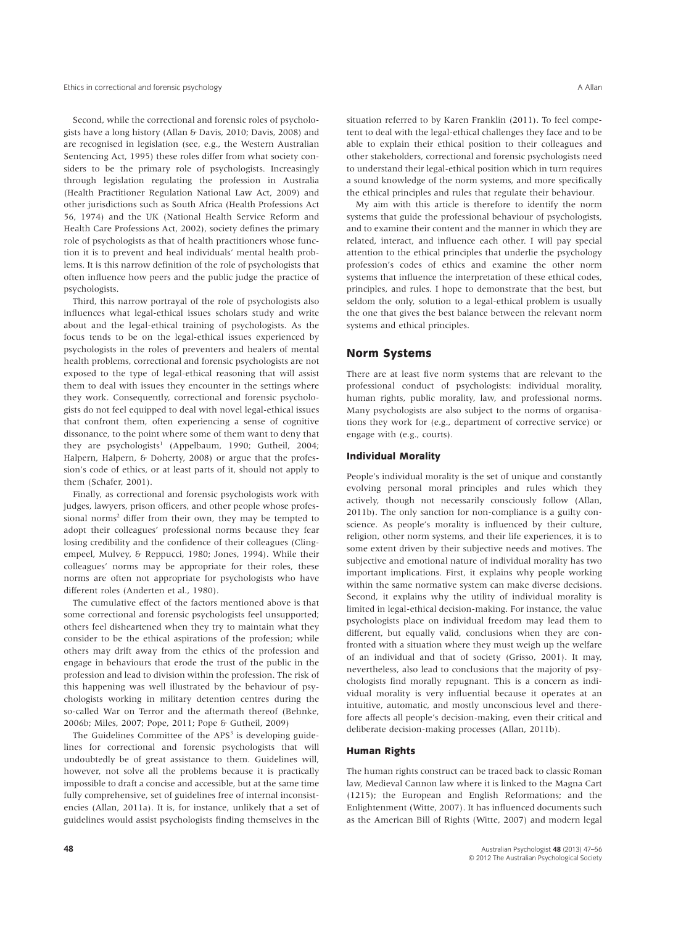Second, while the correctional and forensic roles of psychologists have a long history (Allan & Davis, 2010; Davis, 2008) and are recognised in legislation (see, e.g., the Western Australian Sentencing Act, 1995) these roles differ from what society considers to be the primary role of psychologists. Increasingly through legislation regulating the profession in Australia (Health Practitioner Regulation National Law Act, 2009) and other jurisdictions such as South Africa (Health Professions Act 56, 1974) and the UK (National Health Service Reform and Health Care Professions Act, 2002), society defines the primary role of psychologists as that of health practitioners whose function it is to prevent and heal individuals' mental health problems. It is this narrow definition of the role of psychologists that often influence how peers and the public judge the practice of psychologists.

Third, this narrow portrayal of the role of psychologists also influences what legal-ethical issues scholars study and write about and the legal-ethical training of psychologists. As the focus tends to be on the legal-ethical issues experienced by psychologists in the roles of preventers and healers of mental health problems, correctional and forensic psychologists are not exposed to the type of legal-ethical reasoning that will assist them to deal with issues they encounter in the settings where they work. Consequently, correctional and forensic psychologists do not feel equipped to deal with novel legal-ethical issues that confront them, often experiencing a sense of cognitive dissonance, to the point where some of them want to deny that they are psychologists<sup>1</sup> (Appelbaum, 1990; Gutheil, 2004; Halpern, Halpern, & Doherty, 2008) or argue that the profession's code of ethics, or at least parts of it, should not apply to them (Schafer, 2001).

Finally, as correctional and forensic psychologists work with judges, lawyers, prison officers, and other people whose professional norms<sup>2</sup> differ from their own, they may be tempted to adopt their colleagues' professional norms because they fear losing credibility and the confidence of their colleagues (Clingempeel, Mulvey, & Reppucci, 1980; Jones, 1994). While their colleagues' norms may be appropriate for their roles, these norms are often not appropriate for psychologists who have different roles (Anderten et al., 1980).

The cumulative effect of the factors mentioned above is that some correctional and forensic psychologists feel unsupported; others feel disheartened when they try to maintain what they consider to be the ethical aspirations of the profession; while others may drift away from the ethics of the profession and engage in behaviours that erode the trust of the public in the profession and lead to division within the profession. The risk of this happening was well illustrated by the behaviour of psychologists working in military detention centres during the so-called War on Terror and the aftermath thereof (Behnke, 2006b; Miles, 2007; Pope, 2011; Pope & Gutheil, 2009)

The Guidelines Committee of the  $APS<sup>3</sup>$  is developing guidelines for correctional and forensic psychologists that will undoubtedly be of great assistance to them. Guidelines will, however, not solve all the problems because it is practically impossible to draft a concise and accessible, but at the same time fully comprehensive, set of guidelines free of internal inconsistencies (Allan, 2011a). It is, for instance, unlikely that a set of guidelines would assist psychologists finding themselves in the

situation referred to by Karen Franklin (2011). To feel competent to deal with the legal-ethical challenges they face and to be able to explain their ethical position to their colleagues and other stakeholders, correctional and forensic psychologists need to understand their legal-ethical position which in turn requires a sound knowledge of the norm systems, and more specifically the ethical principles and rules that regulate their behaviour.

My aim with this article is therefore to identify the norm systems that guide the professional behaviour of psychologists, and to examine their content and the manner in which they are related, interact, and influence each other. I will pay special attention to the ethical principles that underlie the psychology profession's codes of ethics and examine the other norm systems that influence the interpretation of these ethical codes, principles, and rules. I hope to demonstrate that the best, but seldom the only, solution to a legal-ethical problem is usually the one that gives the best balance between the relevant norm systems and ethical principles.

# **Norm Systems**

There are at least five norm systems that are relevant to the professional conduct of psychologists: individual morality, human rights, public morality, law, and professional norms. Many psychologists are also subject to the norms of organisations they work for (e.g., department of corrective service) or engage with (e.g., courts).

## **Individual Morality**

People's individual morality is the set of unique and constantly evolving personal moral principles and rules which they actively, though not necessarily consciously follow (Allan, 2011b). The only sanction for non-compliance is a guilty conscience. As people's morality is influenced by their culture, religion, other norm systems, and their life experiences, it is to some extent driven by their subjective needs and motives. The subjective and emotional nature of individual morality has two important implications. First, it explains why people working within the same normative system can make diverse decisions. Second, it explains why the utility of individual morality is limited in legal-ethical decision-making. For instance, the value psychologists place on individual freedom may lead them to different, but equally valid, conclusions when they are confronted with a situation where they must weigh up the welfare of an individual and that of society (Grisso, 2001). It may, nevertheless, also lead to conclusions that the majority of psychologists find morally repugnant. This is a concern as individual morality is very influential because it operates at an intuitive, automatic, and mostly unconscious level and therefore affects all people's decision-making, even their critical and deliberate decision-making processes (Allan, 2011b).

## **Human Rights**

The human rights construct can be traced back to classic Roman law, Medieval Cannon law where it is linked to the Magna Cart (1215); the European and English Reformations; and the Enlightenment (Witte, 2007). It has influenced documents such as the American Bill of Rights (Witte, 2007) and modern legal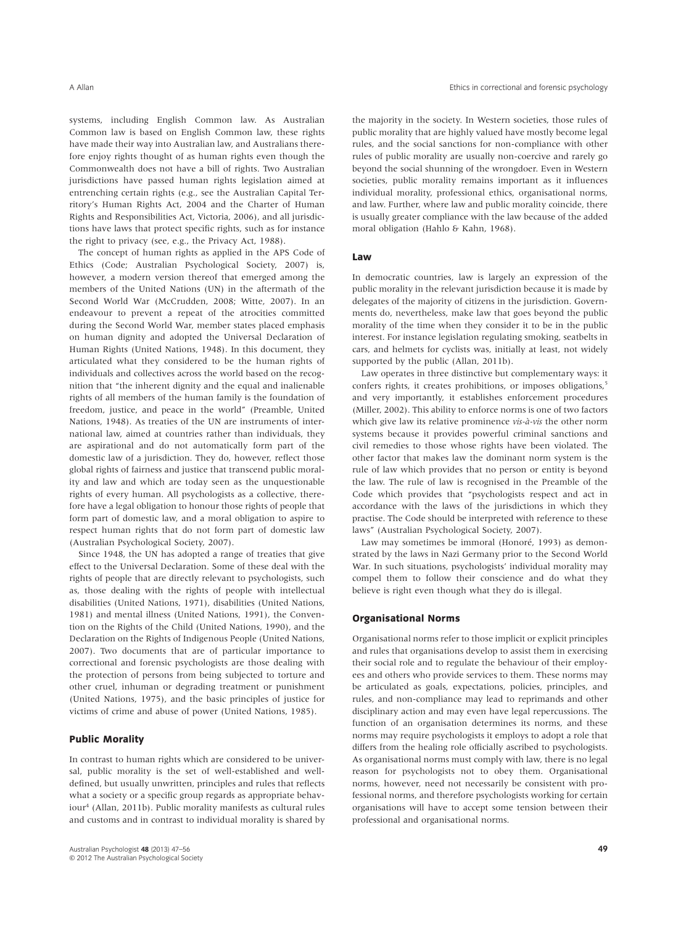systems, including English Common law. As Australian Common law is based on English Common law, these rights have made their way into Australian law, and Australians therefore enjoy rights thought of as human rights even though the Commonwealth does not have a bill of rights. Two Australian jurisdictions have passed human rights legislation aimed at entrenching certain rights (e.g., see the Australian Capital Territory's Human Rights Act, 2004 and the Charter of Human Rights and Responsibilities Act, Victoria, 2006), and all jurisdictions have laws that protect specific rights, such as for instance the right to privacy (see, e.g., the Privacy Act, 1988).

The concept of human rights as applied in the APS Code of Ethics (Code; Australian Psychological Society, 2007) is, however, a modern version thereof that emerged among the members of the United Nations (UN) in the aftermath of the Second World War (McCrudden, 2008; Witte, 2007). In an endeavour to prevent a repeat of the atrocities committed during the Second World War, member states placed emphasis on human dignity and adopted the Universal Declaration of Human Rights (United Nations, 1948). In this document, they articulated what they considered to be the human rights of individuals and collectives across the world based on the recognition that "the inherent dignity and the equal and inalienable rights of all members of the human family is the foundation of freedom, justice, and peace in the world" (Preamble, United Nations, 1948). As treaties of the UN are instruments of international law, aimed at countries rather than individuals, they are aspirational and do not automatically form part of the domestic law of a jurisdiction. They do, however, reflect those global rights of fairness and justice that transcend public morality and law and which are today seen as the unquestionable rights of every human. All psychologists as a collective, therefore have a legal obligation to honour those rights of people that form part of domestic law, and a moral obligation to aspire to respect human rights that do not form part of domestic law (Australian Psychological Society, 2007).

Since 1948, the UN has adopted a range of treaties that give effect to the Universal Declaration. Some of these deal with the rights of people that are directly relevant to psychologists, such as, those dealing with the rights of people with intellectual disabilities (United Nations, 1971), disabilities (United Nations, 1981) and mental illness (United Nations, 1991), the Convention on the Rights of the Child (United Nations, 1990), and the Declaration on the Rights of Indigenous People (United Nations, 2007). Two documents that are of particular importance to correctional and forensic psychologists are those dealing with the protection of persons from being subjected to torture and other cruel, inhuman or degrading treatment or punishment (United Nations, 1975), and the basic principles of justice for victims of crime and abuse of power (United Nations, 1985).

## **Public Morality**

In contrast to human rights which are considered to be universal, public morality is the set of well-established and welldefined, but usually unwritten, principles and rules that reflects what a society or a specific group regards as appropriate behaviour4 (Allan, 2011b). Public morality manifests as cultural rules and customs and in contrast to individual morality is shared by the majority in the society. In Western societies, those rules of public morality that are highly valued have mostly become legal rules, and the social sanctions for non-compliance with other rules of public morality are usually non-coercive and rarely go beyond the social shunning of the wrongdoer. Even in Western societies, public morality remains important as it influences individual morality, professional ethics, organisational norms, and law. Further, where law and public morality coincide, there is usually greater compliance with the law because of the added moral obligation (Hahlo & Kahn, 1968).

## **Law**

In democratic countries, law is largely an expression of the public morality in the relevant jurisdiction because it is made by delegates of the majority of citizens in the jurisdiction. Governments do, nevertheless, make law that goes beyond the public morality of the time when they consider it to be in the public interest. For instance legislation regulating smoking, seatbelts in cars, and helmets for cyclists was, initially at least, not widely supported by the public (Allan, 2011b).

Law operates in three distinctive but complementary ways: it confers rights, it creates prohibitions, or imposes obligations,<sup>5</sup> and very importantly, it establishes enforcement procedures (Miller, 2002). This ability to enforce norms is one of two factors which give law its relative prominence *vis-à-vis* the other norm systems because it provides powerful criminal sanctions and civil remedies to those whose rights have been violated. The other factor that makes law the dominant norm system is the rule of law which provides that no person or entity is beyond the law. The rule of law is recognised in the Preamble of the Code which provides that "psychologists respect and act in accordance with the laws of the jurisdictions in which they practise. The Code should be interpreted with reference to these laws" (Australian Psychological Society, 2007).

Law may sometimes be immoral (Honoré, 1993) as demonstrated by the laws in Nazi Germany prior to the Second World War. In such situations, psychologists' individual morality may compel them to follow their conscience and do what they believe is right even though what they do is illegal.

#### **Organisational Norms**

Organisational norms refer to those implicit or explicit principles and rules that organisations develop to assist them in exercising their social role and to regulate the behaviour of their employees and others who provide services to them. These norms may be articulated as goals, expectations, policies, principles, and rules, and non-compliance may lead to reprimands and other disciplinary action and may even have legal repercussions. The function of an organisation determines its norms, and these norms may require psychologists it employs to adopt a role that differs from the healing role officially ascribed to psychologists. As organisational norms must comply with law, there is no legal reason for psychologists not to obey them. Organisational norms, however, need not necessarily be consistent with professional norms, and therefore psychologists working for certain organisations will have to accept some tension between their professional and organisational norms.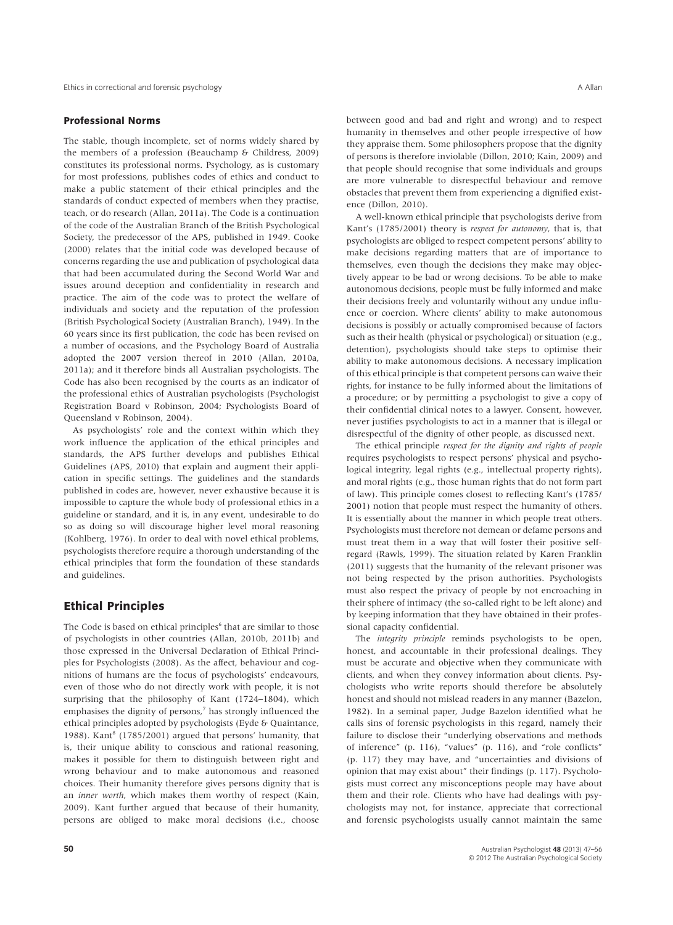## **Professional Norms**

The stable, though incomplete, set of norms widely shared by the members of a profession (Beauchamp & Childress, 2009) constitutes its professional norms. Psychology, as is customary for most professions, publishes codes of ethics and conduct to make a public statement of their ethical principles and the standards of conduct expected of members when they practise, teach, or do research (Allan, 2011a). The Code is a continuation of the code of the Australian Branch of the British Psychological Society, the predecessor of the APS, published in 1949. Cooke (2000) relates that the initial code was developed because of concerns regarding the use and publication of psychological data that had been accumulated during the Second World War and issues around deception and confidentiality in research and practice. The aim of the code was to protect the welfare of individuals and society and the reputation of the profession (British Psychological Society (Australian Branch), 1949). In the 60 years since its first publication, the code has been revised on a number of occasions, and the Psychology Board of Australia adopted the 2007 version thereof in 2010 (Allan, 2010a, 2011a); and it therefore binds all Australian psychologists. The Code has also been recognised by the courts as an indicator of the professional ethics of Australian psychologists (Psychologist Registration Board v Robinson, 2004; Psychologists Board of Queensland v Robinson, 2004).

As psychologists' role and the context within which they work influence the application of the ethical principles and standards, the APS further develops and publishes Ethical Guidelines (APS, 2010) that explain and augment their application in specific settings. The guidelines and the standards published in codes are, however, never exhaustive because it is impossible to capture the whole body of professional ethics in a guideline or standard, and it is, in any event, undesirable to do so as doing so will discourage higher level moral reasoning (Kohlberg, 1976). In order to deal with novel ethical problems, psychologists therefore require a thorough understanding of the ethical principles that form the foundation of these standards and guidelines.

# **Ethical Principles**

The Code is based on ethical principles<sup>6</sup> that are similar to those of psychologists in other countries (Allan, 2010b, 2011b) and those expressed in the Universal Declaration of Ethical Principles for Psychologists (2008). As the affect, behaviour and cognitions of humans are the focus of psychologists' endeavours, even of those who do not directly work with people, it is not surprising that the philosophy of Kant (1724–1804), which emphasises the dignity of persons,<sup>7</sup> has strongly influenced the ethical principles adopted by psychologists (Eyde & Quaintance, 1988). Kant<sup>8</sup> (1785/2001) argued that persons' humanity, that is, their unique ability to conscious and rational reasoning, makes it possible for them to distinguish between right and wrong behaviour and to make autonomous and reasoned choices. Their humanity therefore gives persons dignity that is an *inner worth*, which makes them worthy of respect (Kain, 2009). Kant further argued that because of their humanity, persons are obliged to make moral decisions (i.e., choose

between good and bad and right and wrong) and to respect humanity in themselves and other people irrespective of how they appraise them. Some philosophers propose that the dignity of persons is therefore inviolable (Dillon, 2010; Kain, 2009) and that people should recognise that some individuals and groups are more vulnerable to disrespectful behaviour and remove obstacles that prevent them from experiencing a dignified existence (Dillon, 2010).

A well-known ethical principle that psychologists derive from Kant's (1785/2001) theory is *respect for autonomy*, that is, that psychologists are obliged to respect competent persons' ability to make decisions regarding matters that are of importance to themselves, even though the decisions they make may objectively appear to be bad or wrong decisions. To be able to make autonomous decisions, people must be fully informed and make their decisions freely and voluntarily without any undue influence or coercion. Where clients' ability to make autonomous decisions is possibly or actually compromised because of factors such as their health (physical or psychological) or situation (e.g., detention), psychologists should take steps to optimise their ability to make autonomous decisions. A necessary implication of this ethical principle is that competent persons can waive their rights, for instance to be fully informed about the limitations of a procedure; or by permitting a psychologist to give a copy of their confidential clinical notes to a lawyer. Consent, however, never justifies psychologists to act in a manner that is illegal or disrespectful of the dignity of other people, as discussed next.

The ethical principle *respect for the dignity and rights of people* requires psychologists to respect persons' physical and psychological integrity, legal rights (e.g., intellectual property rights), and moral rights (e.g., those human rights that do not form part of law). This principle comes closest to reflecting Kant's (1785/ 2001) notion that people must respect the humanity of others. It is essentially about the manner in which people treat others. Psychologists must therefore not demean or defame persons and must treat them in a way that will foster their positive selfregard (Rawls, 1999). The situation related by Karen Franklin (2011) suggests that the humanity of the relevant prisoner was not being respected by the prison authorities. Psychologists must also respect the privacy of people by not encroaching in their sphere of intimacy (the so-called right to be left alone) and by keeping information that they have obtained in their professional capacity confidential.

The *integrity principle* reminds psychologists to be open, honest, and accountable in their professional dealings. They must be accurate and objective when they communicate with clients, and when they convey information about clients. Psychologists who write reports should therefore be absolutely honest and should not mislead readers in any manner (Bazelon, 1982). In a seminal paper, Judge Bazelon identified what he calls sins of forensic psychologists in this regard, namely their failure to disclose their "underlying observations and methods of inference" (p. 116), "values" (p. 116), and "role conflicts" (p. 117) they may have, and "uncertainties and divisions of opinion that may exist about" their findings (p. 117). Psychologists must correct any misconceptions people may have about them and their role. Clients who have had dealings with psychologists may not, for instance, appreciate that correctional and forensic psychologists usually cannot maintain the same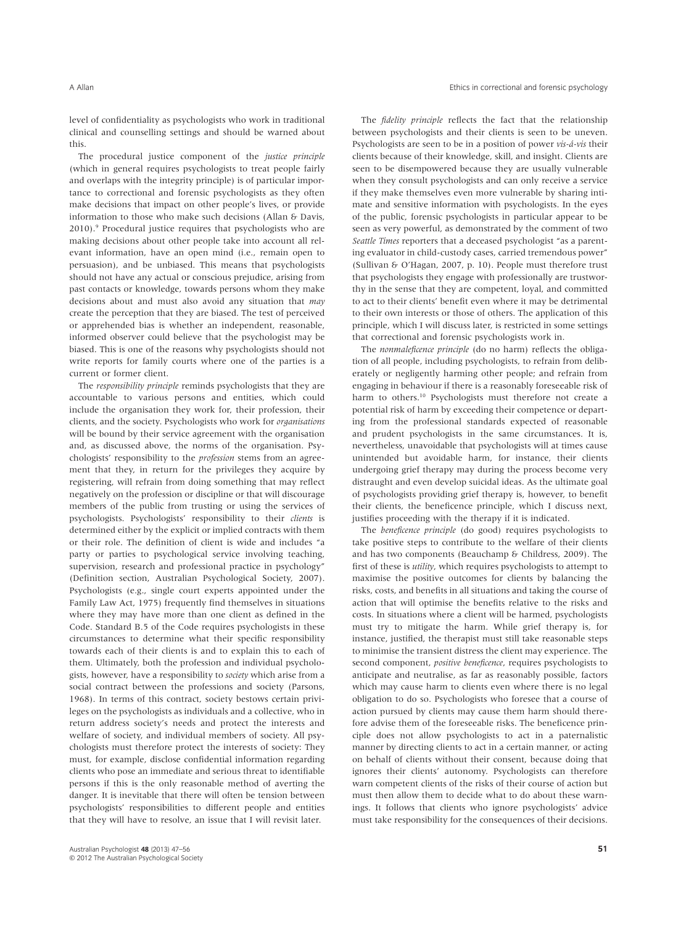level of confidentiality as psychologists who work in traditional clinical and counselling settings and should be warned about this.

The procedural justice component of the *justice principle* (which in general requires psychologists to treat people fairly and overlaps with the integrity principle) is of particular importance to correctional and forensic psychologists as they often make decisions that impact on other people's lives, or provide information to those who make such decisions (Allan & Davis, 2010).9 Procedural justice requires that psychologists who are making decisions about other people take into account all relevant information, have an open mind (i.e., remain open to persuasion), and be unbiased. This means that psychologists should not have any actual or conscious prejudice, arising from past contacts or knowledge, towards persons whom they make decisions about and must also avoid any situation that *may* create the perception that they are biased. The test of perceived or apprehended bias is whether an independent, reasonable, informed observer could believe that the psychologist may be biased. This is one of the reasons why psychologists should not write reports for family courts where one of the parties is a current or former client.

The *responsibility principle* reminds psychologists that they are accountable to various persons and entities, which could include the organisation they work for, their profession, their clients, and the society. Psychologists who work for *organisations* will be bound by their service agreement with the organisation and, as discussed above, the norms of the organisation. Psychologists' responsibility to the *profession* stems from an agreement that they, in return for the privileges they acquire by registering, will refrain from doing something that may reflect negatively on the profession or discipline or that will discourage members of the public from trusting or using the services of psychologists. Psychologists' responsibility to their *clients* is determined either by the explicit or implied contracts with them or their role. The definition of client is wide and includes "a party or parties to psychological service involving teaching, supervision, research and professional practice in psychology' (Definition section, Australian Psychological Society, 2007). Psychologists (e.g., single court experts appointed under the Family Law Act, 1975) frequently find themselves in situations where they may have more than one client as defined in the Code. Standard B.5 of the Code requires psychologists in these circumstances to determine what their specific responsibility towards each of their clients is and to explain this to each of them. Ultimately, both the profession and individual psychologists, however, have a responsibility to *society* which arise from a social contract between the professions and society (Parsons, 1968). In terms of this contract, society bestows certain privileges on the psychologists as individuals and a collective, who in return address society's needs and protect the interests and welfare of society, and individual members of society. All psychologists must therefore protect the interests of society: They must, for example, disclose confidential information regarding clients who pose an immediate and serious threat to identifiable persons if this is the only reasonable method of averting the danger. It is inevitable that there will often be tension between psychologists' responsibilities to different people and entities that they will have to resolve, an issue that I will revisit later.

The *fidelity principle* reflects the fact that the relationship between psychologists and their clients is seen to be uneven. Psychologists are seen to be in a position of power *vis-á-vis* their clients because of their knowledge, skill, and insight. Clients are seen to be disempowered because they are usually vulnerable when they consult psychologists and can only receive a service if they make themselves even more vulnerable by sharing intimate and sensitive information with psychologists. In the eyes of the public, forensic psychologists in particular appear to be seen as very powerful, as demonstrated by the comment of two *Seattle Times* reporters that a deceased psychologist "as a parenting evaluator in child-custody cases, carried tremendous power" (Sullivan & O'Hagan, 2007, p. 10). People must therefore trust that psychologists they engage with professionally are trustworthy in the sense that they are competent, loyal, and committed to act to their clients' benefit even where it may be detrimental to their own interests or those of others. The application of this principle, which I will discuss later, is restricted in some settings that correctional and forensic psychologists work in.

The *nonmaleficence principle* (do no harm) reflects the obligation of all people, including psychologists, to refrain from deliberately or negligently harming other people; and refrain from engaging in behaviour if there is a reasonably foreseeable risk of harm to others.<sup>10</sup> Psychologists must therefore not create a potential risk of harm by exceeding their competence or departing from the professional standards expected of reasonable and prudent psychologists in the same circumstances. It is, nevertheless, unavoidable that psychologists will at times cause unintended but avoidable harm, for instance, their clients undergoing grief therapy may during the process become very distraught and even develop suicidal ideas. As the ultimate goal of psychologists providing grief therapy is, however, to benefit their clients, the beneficence principle, which I discuss next, justifies proceeding with the therapy if it is indicated.

The *beneficence principle* (do good) requires psychologists to take positive steps to contribute to the welfare of their clients and has two components (Beauchamp & Childress, 2009). The first of these is *utility*, which requires psychologists to attempt to maximise the positive outcomes for clients by balancing the risks, costs, and benefits in all situations and taking the course of action that will optimise the benefits relative to the risks and costs. In situations where a client will be harmed, psychologists must try to mitigate the harm. While grief therapy is, for instance, justified, the therapist must still take reasonable steps to minimise the transient distress the client may experience. The second component, *positive beneficence*, requires psychologists to anticipate and neutralise, as far as reasonably possible, factors which may cause harm to clients even where there is no legal obligation to do so. Psychologists who foresee that a course of action pursued by clients may cause them harm should therefore advise them of the foreseeable risks. The beneficence principle does not allow psychologists to act in a paternalistic manner by directing clients to act in a certain manner, or acting on behalf of clients without their consent, because doing that ignores their clients' autonomy. Psychologists can therefore warn competent clients of the risks of their course of action but must then allow them to decide what to do about these warnings. It follows that clients who ignore psychologists' advice must take responsibility for the consequences of their decisions.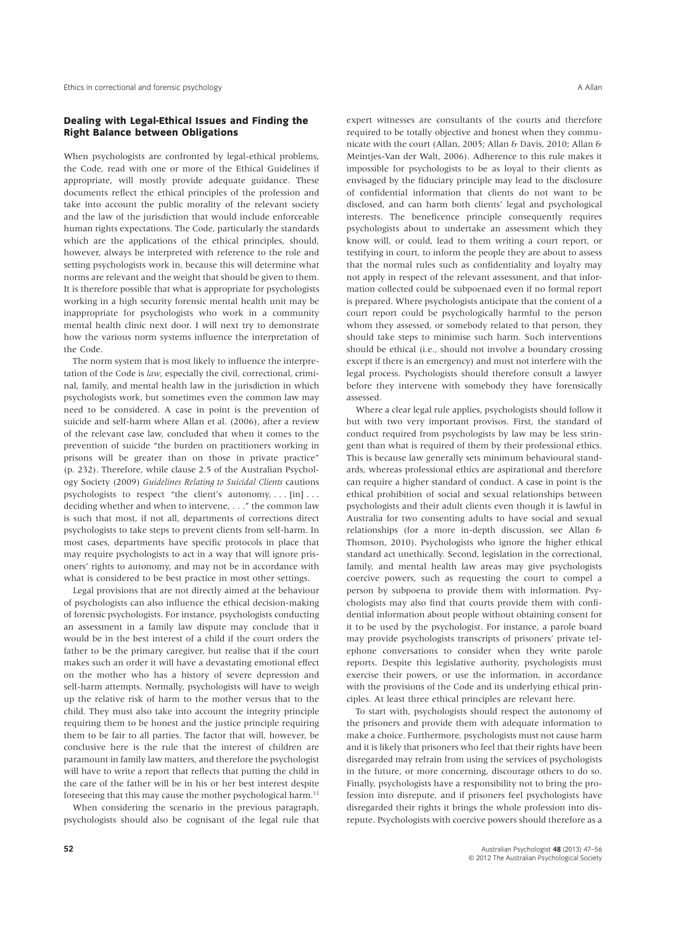## **Dealing with Legal-Ethical Issues and Finding the Right Balance between Obligations**

When psychologists are confronted by legal-ethical problems, the Code, read with one or more of the Ethical Guidelines if appropriate, will mostly provide adequate guidance. These documents reflect the ethical principles of the profession and take into account the public morality of the relevant society and the law of the jurisdiction that would include enforceable human rights expectations. The Code, particularly the standards which are the applications of the ethical principles, should, however, always be interpreted with reference to the role and setting psychologists work in, because this will determine what norms are relevant and the weight that should be given to them. It is therefore possible that what is appropriate for psychologists working in a high security forensic mental health unit may be inappropriate for psychologists who work in a community mental health clinic next door. I will next try to demonstrate how the various norm systems influence the interpretation of the Code.

The norm system that is most likely to influence the interpretation of the Code is *law*, especially the civil, correctional, criminal, family, and mental health law in the jurisdiction in which psychologists work, but sometimes even the common law may need to be considered. A case in point is the prevention of suicide and self-harm where Allan et al. (2006), after a review of the relevant case law, concluded that when it comes to the prevention of suicide "the burden on practitioners working in prisons will be greater than on those in private practice" (p. 232). Therefore, while clause 2.5 of the Australian Psychology Society (2009) *Guidelines Relating to Suicidal Clients* cautions psychologists to respect "the client's autonomy,... [in] . . . deciding whether and when to intervene, . . ." the common law is such that most, if not all, departments of corrections direct psychologists to take steps to prevent clients from self-harm. In most cases, departments have specific protocols in place that may require psychologists to act in a way that will ignore prisoners' rights to autonomy, and may not be in accordance with what is considered to be best practice in most other settings.

Legal provisions that are not directly aimed at the behaviour of psychologists can also influence the ethical decision-making of forensic psychologists. For instance, psychologists conducting an assessment in a family law dispute may conclude that it would be in the best interest of a child if the court orders the father to be the primary caregiver, but realise that if the court makes such an order it will have a devastating emotional effect on the mother who has a history of severe depression and self-harm attempts. Normally, psychologists will have to weigh up the relative risk of harm to the mother versus that to the child. They must also take into account the integrity principle requiring them to be honest and the justice principle requiring them to be fair to all parties. The factor that will, however, be conclusive here is the rule that the interest of children are paramount in family law matters, and therefore the psychologist will have to write a report that reflects that putting the child in the care of the father will be in his or her best interest despite foreseeing that this may cause the mother psychological harm.<sup>11</sup>

When considering the scenario in the previous paragraph, psychologists should also be cognisant of the legal rule that

expert witnesses are consultants of the courts and therefore required to be totally objective and honest when they communicate with the court (Allan, 2005; Allan & Davis, 2010; Allan & Meintjes-Van der Walt, 2006). Adherence to this rule makes it impossible for psychologists to be as loyal to their clients as envisaged by the fiduciary principle may lead to the disclosure of confidential information that clients do not want to be disclosed, and can harm both clients' legal and psychological interests. The beneficence principle consequently requires psychologists about to undertake an assessment which they know will, or could, lead to them writing a court report, or testifying in court, to inform the people they are about to assess that the normal rules such as confidentiality and loyalty may not apply in respect of the relevant assessment, and that information collected could be subpoenaed even if no formal report is prepared. Where psychologists anticipate that the content of a court report could be psychologically harmful to the person whom they assessed, or somebody related to that person, they should take steps to minimise such harm. Such interventions should be ethical (i.e., should not involve a boundary crossing except if there is an emergency) and must not interfere with the legal process. Psychologists should therefore consult a lawyer before they intervene with somebody they have forensically assessed.

Where a clear legal rule applies, psychologists should follow it but with two very important provisos. First, the standard of conduct required from psychologists by law may be less stringent than what is required of them by their professional ethics. This is because law generally sets minimum behavioural standards, whereas professional ethics are aspirational and therefore can require a higher standard of conduct. A case in point is the ethical prohibition of social and sexual relationships between psychologists and their adult clients even though it is lawful in Australia for two consenting adults to have social and sexual relationships (for a more in-depth discussion, see Allan & Thomson, 2010). Psychologists who ignore the higher ethical standard act unethically. Second, legislation in the correctional, family, and mental health law areas may give psychologists coercive powers, such as requesting the court to compel a person by subpoena to provide them with information. Psychologists may also find that courts provide them with confidential information about people without obtaining consent for it to be used by the psychologist. For instance, a parole board may provide psychologists transcripts of prisoners' private telephone conversations to consider when they write parole reports. Despite this legislative authority, psychologists must exercise their powers, or use the information, in accordance with the provisions of the Code and its underlying ethical principles. At least three ethical principles are relevant here.

To start with, psychologists should respect the autonomy of the prisoners and provide them with adequate information to make a choice. Furthermore, psychologists must not cause harm and it is likely that prisoners who feel that their rights have been disregarded may refrain from using the services of psychologists in the future, or more concerning, discourage others to do so. Finally, psychologists have a responsibility not to bring the profession into disrepute, and if prisoners feel psychologists have disregarded their rights it brings the whole profession into disrepute. Psychologists with coercive powers should therefore as a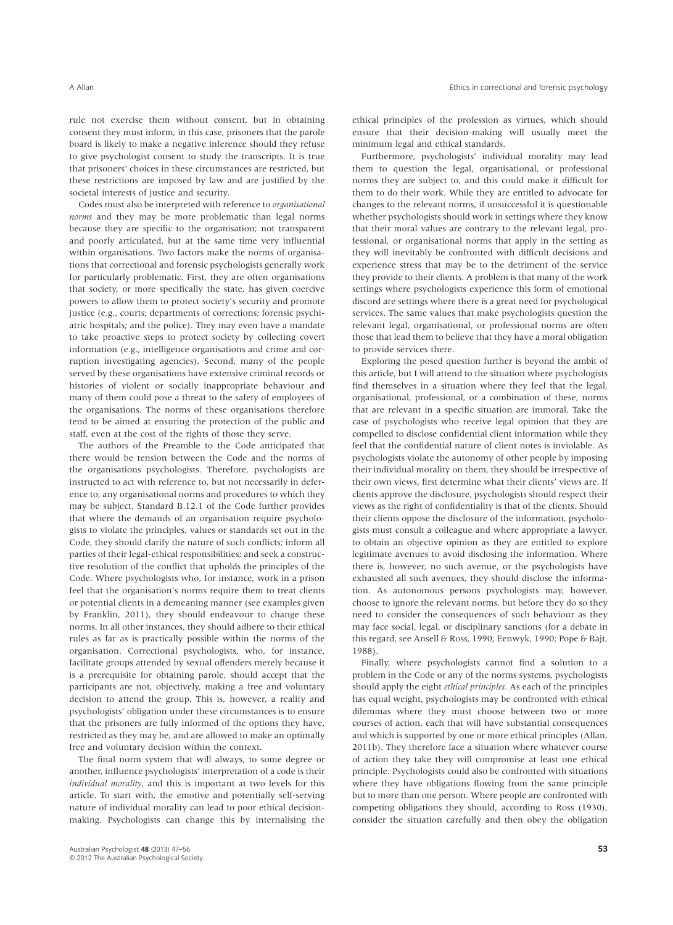rule not exercise them without consent, but in obtaining consent they must inform, in this case, prisoners that the parole board is likely to make a negative inference should they refuse to give psychologist consent to study the transcripts. It is true that prisoners' choices in these circumstances are restricted, but these restrictions are imposed by law and are justified by the societal interests of justice and security.

Codes must also be interpreted with reference to *organisational norms* and they may be more problematic than legal norms because they are specific to the organisation; not transparent and poorly articulated, but at the same time very influential within organisations. Two factors make the norms of organisations that correctional and forensic psychologists generally work for particularly problematic. First, they are often organisations that society, or more specifically the state, has given coercive powers to allow them to protect society's security and promote justice (e.g., courts; departments of corrections; forensic psychiatric hospitals; and the police). They may even have a mandate to take proactive steps to protect society by collecting covert information (e.g., intelligence organisations and crime and corruption investigating agencies). Second, many of the people served by these organisations have extensive criminal records or histories of violent or socially inappropriate behaviour and many of them could pose a threat to the safety of employees of the organisations. The norms of these organisations therefore tend to be aimed at ensuring the protection of the public and staff, even at the cost of the rights of those they serve.

The authors of the Preamble to the Code anticipated that there would be tension between the Code and the norms of the organisations psychologists. Therefore, psychologists are instructed to act with reference to, but not necessarily in deference to, any organisational norms and procedures to which they may be subject. Standard B.12.1 of the Code further provides that where the demands of an organisation require psychologists to violate the principles, values or standards set out in the Code, they should clarify the nature of such conflicts; inform all parties of their legal-ethical responsibilities; and seek a constructive resolution of the conflict that upholds the principles of the Code. Where psychologists who, for instance, work in a prison feel that the organisation's norms require them to treat clients or potential clients in a demeaning manner (see examples given by Franklin, 2011), they should endeavour to change these norms. In all other instances, they should adhere to their ethical rules as far as is practically possible within the norms of the organisation. Correctional psychologists, who, for instance, facilitate groups attended by sexual offenders merely because it is a prerequisite for obtaining parole, should accept that the participants are not, objectively, making a free and voluntary decision to attend the group. This is, however, a reality and psychologists' obligation under these circumstances is to ensure that the prisoners are fully informed of the options they have, restricted as they may be, and are allowed to make an optimally free and voluntary decision within the context.

The final norm system that will always, to some degree or another, influence psychologists' interpretation of a code is their *individual morality*, and this is important at two levels for this article. To start with, the emotive and potentially self-serving nature of individual morality can lead to poor ethical decisionmaking. Psychologists can change this by internalising the

ethical principles of the profession as virtues, which should ensure that their decision-making will usually meet the minimum legal and ethical standards.

Furthermore, psychologists' individual morality may lead them to question the legal, organisational, or professional norms they are subject to, and this could make it difficult for them to do their work. While they are entitled to advocate for changes to the relevant norms, if unsuccessful it is questionable whether psychologists should work in settings where they know that their moral values are contrary to the relevant legal, professional, or organisational norms that apply in the setting as they will inevitably be confronted with difficult decisions and experience stress that may be to the detriment of the service they provide to their clients. A problem is that many of the work settings where psychologists experience this form of emotional discord are settings where there is a great need for psychological services. The same values that make psychologists question the relevant legal, organisational, or professional norms are often those that lead them to believe that they have a moral obligation to provide services there.

Exploring the posed question further is beyond the ambit of this article, but I will attend to the situation where psychologists find themselves in a situation where they feel that the legal, organisational, professional, or a combination of these, norms that are relevant in a specific situation are immoral. Take the case of psychologists who receive legal opinion that they are compelled to disclose confidential client information while they feel that the confidential nature of client notes is inviolable. As psychologists violate the autonomy of other people by imposing their individual morality on them, they should be irrespective of their own views, first determine what their clients' views are. If clients approve the disclosure, psychologists should respect their views as the right of confidentiality is that of the clients. Should their clients oppose the disclosure of the information, psychologists must consult a colleague and where appropriate a lawyer, to obtain an objective opinion as they are entitled to explore legitimate avenues to avoid disclosing the information. Where there is, however, no such avenue, or the psychologists have exhausted all such avenues, they should disclose the information. As autonomous persons psychologists may, however, choose to ignore the relevant norms, but before they do so they need to consider the consequences of such behaviour as they may face social, legal, or disciplinary sanctions (for a debate in this regard, see Ansell & Ross, 1990; Eenwyk, 1990; Pope & Bajt, 1988).

Finally, where psychologists cannot find a solution to a problem in the Code or any of the norms systems, psychologists should apply the eight *ethical principles*. As each of the principles has equal weight, psychologists may be confronted with ethical dilemmas where they must choose between two or more courses of action, each that will have substantial consequences and which is supported by one or more ethical principles (Allan, 2011b). They therefore face a situation where whatever course of action they take they will compromise at least one ethical principle. Psychologists could also be confronted with situations where they have obligations flowing from the same principle but to more than one person. Where people are confronted with competing obligations they should, according to Ross (1930), consider the situation carefully and then obey the obligation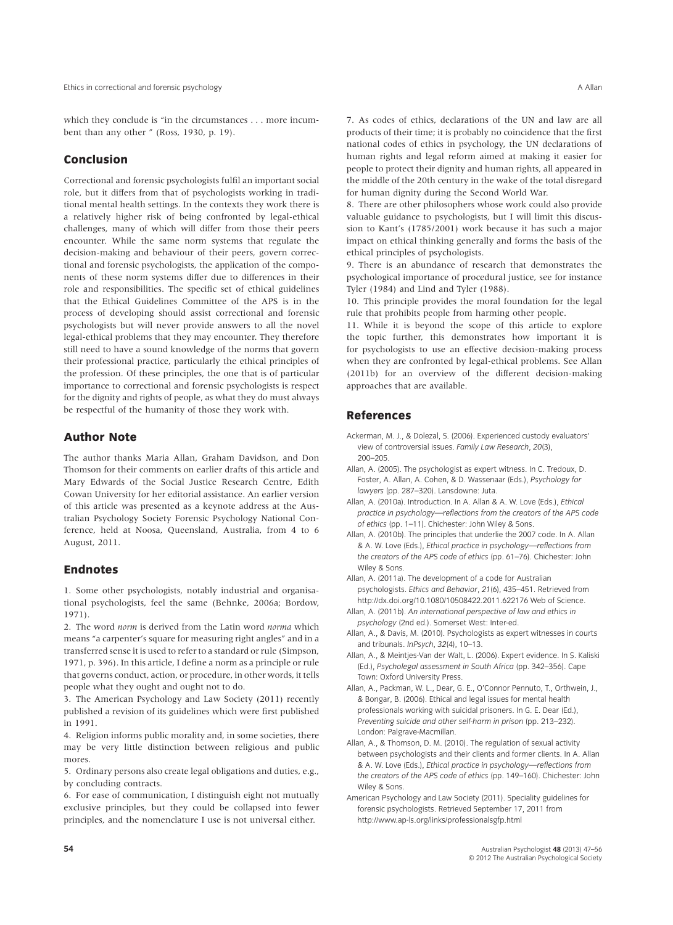which they conclude is "in the circumstances . . . more incumbent than any other " (Ross, 1930, p. 19).

# **Conclusion**

Correctional and forensic psychologists fulfil an important social role, but it differs from that of psychologists working in traditional mental health settings. In the contexts they work there is a relatively higher risk of being confronted by legal-ethical challenges, many of which will differ from those their peers encounter. While the same norm systems that regulate the decision-making and behaviour of their peers, govern correctional and forensic psychologists, the application of the components of these norm systems differ due to differences in their role and responsibilities. The specific set of ethical guidelines that the Ethical Guidelines Committee of the APS is in the process of developing should assist correctional and forensic psychologists but will never provide answers to all the novel legal-ethical problems that they may encounter. They therefore still need to have a sound knowledge of the norms that govern their professional practice, particularly the ethical principles of the profession. Of these principles, the one that is of particular importance to correctional and forensic psychologists is respect for the dignity and rights of people, as what they do must always be respectful of the humanity of those they work with.

# **Author Note**

The author thanks Maria Allan, Graham Davidson, and Don Thomson for their comments on earlier drafts of this article and Mary Edwards of the Social Justice Research Centre, Edith Cowan University for her editorial assistance. An earlier version of this article was presented as a keynote address at the Australian Psychology Society Forensic Psychology National Conference, held at Noosa, Queensland, Australia, from 4 to 6 August, 2011.

## **Endnotes**

1. Some other psychologists, notably industrial and organisational psychologists, feel the same (Behnke, 2006a; Bordow, 1971).

2. The word *norm* is derived from the Latin word *norma* which means "a carpenter's square for measuring right angles" and in a transferred sense it is used to refer to a standard or rule (Simpson, 1971, p. 396). In this article, I define a norm as a principle or rule that governs conduct, action, or procedure, in other words, it tells people what they ought and ought not to do.

3. The American Psychology and Law Society (2011) recently published a revision of its guidelines which were first published in 1991.

4. Religion informs public morality and, in some societies, there may be very little distinction between religious and public mores.

5. Ordinary persons also create legal obligations and duties, e.g., by concluding contracts.

6. For ease of communication, I distinguish eight not mutually exclusive principles, but they could be collapsed into fewer principles, and the nomenclature I use is not universal either.

7. As codes of ethics, declarations of the UN and law are all products of their time; it is probably no coincidence that the first national codes of ethics in psychology, the UN declarations of human rights and legal reform aimed at making it easier for people to protect their dignity and human rights, all appeared in the middle of the 20th century in the wake of the total disregard for human dignity during the Second World War.

8. There are other philosophers whose work could also provide valuable guidance to psychologists, but I will limit this discussion to Kant's (1785/2001) work because it has such a major impact on ethical thinking generally and forms the basis of the ethical principles of psychologists.

9. There is an abundance of research that demonstrates the psychological importance of procedural justice, see for instance Tyler (1984) and Lind and Tyler (1988).

10. This principle provides the moral foundation for the legal rule that prohibits people from harming other people.

11. While it is beyond the scope of this article to explore the topic further, this demonstrates how important it is for psychologists to use an effective decision-making process when they are confronted by legal-ethical problems. See Allan (2011b) for an overview of the different decision-making approaches that are available.

# **References**

- Ackerman, M. J., & Dolezal, S. (2006). Experienced custody evaluators' view of controversial issues. *Family Law Research*, *20*(3), 200–205.
- Allan, A. (2005). The psychologist as expert witness. In C. Tredoux, D. Foster, A. Allan, A. Cohen, & D. Wassenaar (Eds.), *Psychology for lawyers* (pp. 287–320). Lansdowne: Juta.
- Allan, A. (2010a). Introduction. In A. Allan & A. W. Love (Eds.), *Ethical practice in psychology—reflections from the creators of the APS code of ethics* (pp. 1–11). Chichester: John Wiley & Sons.
- Allan, A. (2010b). The principles that underlie the 2007 code. In A. Allan & A. W. Love (Eds.), *Ethical practice in psychology—reflections from the creators of the APS code of ethics* (pp. 61–76). Chichester: John Wiley & Sons.

Allan, A. (2011a). The development of a code for Australian psychologists. *Ethics and Behavior*, *21*(6), 435–451. Retrieved from http://dx.doi.org/10.1080/10508422.2011.622176 Web of Science. Allan, A. (2011b). *An international perspective of law and ethics in*

- *psychology* (2nd ed.). Somerset West: Inter-ed.
- Allan, A., & Davis, M. (2010). Psychologists as expert witnesses in courts and tribunals. *InPsych*, *32*(4), 10–13.
- Allan, A., & Meintjes-Van der Walt, L. (2006). Expert evidence. In S. Kaliski (Ed.), *Psycholegal assessment in South Africa* (pp. 342–356). Cape Town: Oxford University Press.
- Allan, A., Packman, W. L., Dear, G. E., O'Connor Pennuto, T., Orthwein, J., & Bongar, B. (2006). Ethical and legal issues for mental health professionals working with suicidal prisoners. In G. E. Dear (Ed.), *Preventing suicide and other self-harm in prison* (pp. 213–232). London: Palgrave-Macmillan.
- Allan, A., & Thomson, D. M. (2010). The regulation of sexual activity between psychologists and their clients and former clients. In A. Allan & A. W. Love (Eds.), *Ethical practice in psychology—reflections from the creators of the APS code of ethics* (pp. 149–160). Chichester: John Wiley & Sons.
- American Psychology and Law Society (2011). Speciality guidelines for forensic psychologists. Retrieved September 17, 2011 from http://www.ap-ls.org/links/professionalsgfp.html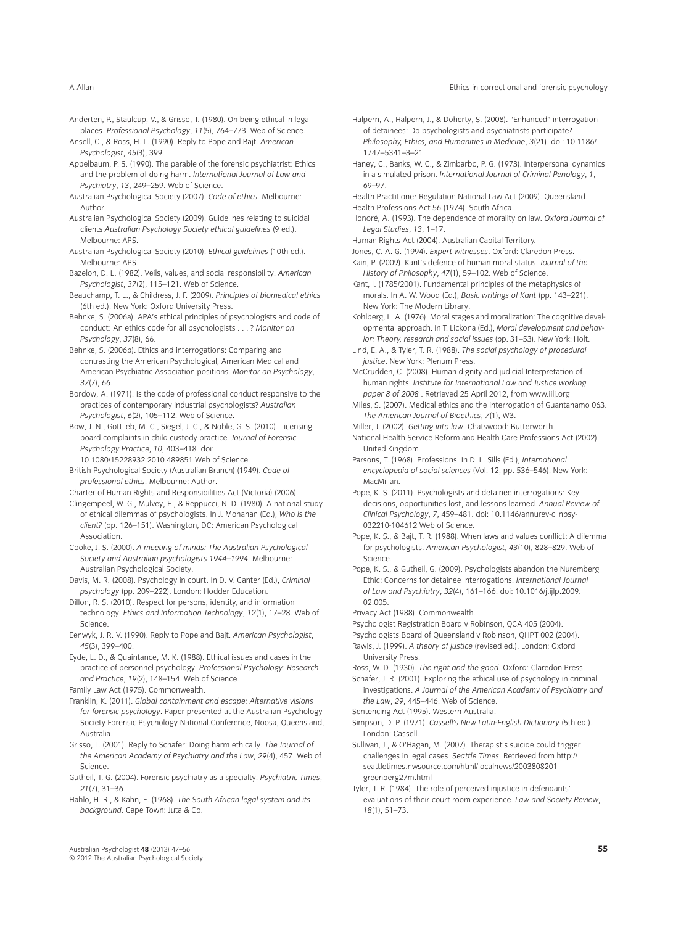Anderten, P., Staulcup, V., & Grisso, T. (1980). On being ethical in legal places. *Professional Psychology*, *11*(5), 764–773. Web of Science.

Ansell, C., & Ross, H. L. (1990). Reply to Pope and Bajt. *American Psychologist*, *45*(3), 399.

- Appelbaum, P. S. (1990). The parable of the forensic psychiatrist: Ethics and the problem of doing harm. *International Journal of Law and Psychiatry*, *13*, 249–259. Web of Science.
- Australian Psychological Society (2007). *Code of ethics*. Melbourne: Author.
- Australian Psychological Society (2009). Guidelines relating to suicidal clients *Australian Psychology Society ethical guidelines* (9 ed.). Melbourne: APS.
- Australian Psychological Society (2010). *Ethical guidelines* (10th ed.). Melbourne: APS.
- Bazelon, D. L. (1982). Veils, values, and social responsibility. *American Psychologist*, *37*(2), 115–121. Web of Science.
- Beauchamp, T. L., & Childress, J. F. (2009). *Principles of biomedical ethics* (6th ed.). New York: Oxford University Press.
- Behnke, S. (2006a). APA's ethical principles of psychologists and code of conduct: An ethics code for all psychologists . . . ? *Monitor on Psychology*, *37*(8), 66.

Behnke, S. (2006b). Ethics and interrogations: Comparing and contrasting the American Psychological, American Medical and American Psychiatric Association positions. *Monitor on Psychology*, *37*(7), 66.

Bordow, A. (1971). Is the code of professional conduct responsive to the practices of contemporary industrial psychologists? *Australian Psychologist*, *6*(2), 105–112. Web of Science.

Bow, J. N., Gottlieb, M. C., Siegel, J. C., & Noble, G. S. (2010). Licensing board complaints in child custody practice. *Journal of Forensic Psychology Practice*, *10*, 403–418. doi: 10.1080/15228932.2010.489851 Web of Science.

British Psychological Society (Australian Branch) (1949). *Code of professional ethics*. Melbourne: Author.

Charter of Human Rights and Responsibilities Act (Victoria) (2006).

Clingempeel, W. G., Mulvey, E., & Reppucci, N. D. (1980). A national study of ethical dilemmas of psychologists. In J. Mohahan (Ed.), *Who is the client?* (pp. 126–151). Washington, DC: American Psychological Association.

Cooke, J. S. (2000). *A meeting of minds: The Australian Psychological Society and Australian psychologists 1944–1994*. Melbourne: Australian Psychological Society.

Davis, M. R. (2008). Psychology in court. In D. V. Canter (Ed.), *Criminal psychology* (pp. 209–222). London: Hodder Education.

Dillon, R. S. (2010). Respect for persons, identity, and information technology. *Ethics and Information Technology*, *12*(1), 17–28. Web of Science.

Eenwyk, J. R. V. (1990). Reply to Pope and Bajt. *American Psychologist*, *45*(3), 399–400.

Eyde, L. D., & Quaintance, M. K. (1988). Ethical issues and cases in the practice of personnel psychology. *Professional Psychology: Research and Practice*, *19*(2), 148–154. Web of Science.

Family Law Act (1975). Commonwealth.

Franklin, K. (2011). *Global containment and escape: Alternative visions for forensic psychology*. Paper presented at the Australian Psychology Society Forensic Psychology National Conference, Noosa, Queensland, Australia.

Grisso, T. (2001). Reply to Schafer: Doing harm ethically. *The Journal of the American Academy of Psychiatry and the Law*, *29*(4), 457. Web of Science.

Gutheil, T. G. (2004). Forensic psychiatry as a specialty. *Psychiatric Times*, *21*(7), 31–36.

Hahlo, H. R., & Kahn, E. (1968). *The South African legal system and its background*. Cape Town: Juta & Co.

Haney, C., Banks, W. C., & Zimbarbo, P. G. (1973). Interpersonal dynamics in a simulated prison. *International Journal of Criminal Penology*, *1*, 69–97.

Health Practitioner Regulation National Law Act (2009). Queensland.

Health Professions Act 56 (1974). South Africa.

- Honoré, A. (1993). The dependence of morality on law. *Oxford Journal of Legal Studies*, *13*, 1–17.
- Human Rights Act (2004). Australian Capital Territory.
- Jones, C. A. G. (1994). *Expert witnesses*. Oxford: Claredon Press.
- Kain, P. (2009). Kant's defence of human moral status. *Journal of the History of Philosophy*, *47*(1), 59–102. Web of Science.
- Kant, I. (1785/2001). Fundamental principles of the metaphysics of morals. In A. W. Wood (Ed.), *Basic writings of Kant* (pp. 143–221). New York: The Modern Library.
- Kohlberg, L. A. (1976). Moral stages and moralization: The cognitive developmental approach. In T. Lickona (Ed.), *Moral development and behavior: Theory, research and social issues* (pp. 31–53). New York: Holt.

Lind, E. A., & Tyler, T. R. (1988). *The social psychology of procedural justice*. New York: Plenum Press.

McCrudden, C. (2008). Human dignity and judicial Interpretation of human rights. *Institute for International Law and Justice working paper 8 of 2008* . Retrieved 25 April 2012, from www.iilj.org

Miles, S. (2007). Medical ethics and the interrogation of Guantanamo 063. *The American Journal of Bioethics*, *7*(1), W3.

Miller, J. (2002). *Getting into law*. Chatswood: Butterworth.

- National Health Service Reform and Health Care Professions Act (2002). United Kingdom.
- Parsons, T. (1968). Professions. In D. L. Sills (Ed.), *International encyclopedia of social sciences* (Vol. 12, pp. 536–546). New York: MacMillan.
- Pope, K. S. (2011). Psychologists and detainee interrogations: Key decisions, opportunities lost, and lessons learned. *Annual Review of Clinical Psychology*, *7*, 459–481. doi: 10.1146/annurev-clinpsy-032210-104612 Web of Science.

Pope, K. S., & Bajt, T. R. (1988). When laws and values conflict: A dilemma for psychologists. *American Psychologist*, *43*(10), 828–829. Web of Science.

Pope, K. S., & Gutheil, G. (2009). Psychologists abandon the Nuremberg Ethic: Concerns for detainee interrogations. *International Journal of Law and Psychiatry*, *32*(4), 161–166. doi: 10.1016/j.ijlp.2009. 02.005.

Privacy Act (1988). Commonwealth.

- Psychologist Registration Board v Robinson, QCA 405 (2004).
- Psychologists Board of Queensland v Robinson, QHPT 002 (2004). Rawls, J. (1999). *A theory of justice* (revised ed.). London: Oxford
- University Press.

Ross, W. D. (1930). *The right and the good*. Oxford: Claredon Press.

Schafer, J. R. (2001). Exploring the ethical use of psychology in criminal investigations. *A Journal of the American Academy of Psychiatry and the Law*, *29*, 445–446. Web of Science.

Sentencing Act (1995). Western Australia.

- Simpson, D. P. (1971). *Cassell's New Latin-English Dictionary* (5th ed.). London: Cassell.
- Sullivan, J., & O'Hagan, M. (2007). Therapist's suicide could trigger challenges in legal cases. *Seattle Times*. Retrieved from http:// seattletimes.nwsource.com/html/localnews/2003808201\_ greenberg27m.html

Tyler, T. R. (1984). The role of perceived injustice in defendants' evaluations of their court room experience. *Law and Society Review*, *18*(1), 51–73.

Halpern, A., Halpern, J., & Doherty, S. (2008). "Enhanced" interrogation of detainees: Do psychologists and psychiatrists participate? *Philosophy, Ethics, and Humanities in Medicine*, *3*(21). doi: 10.1186/ 1747–5341–3–21.